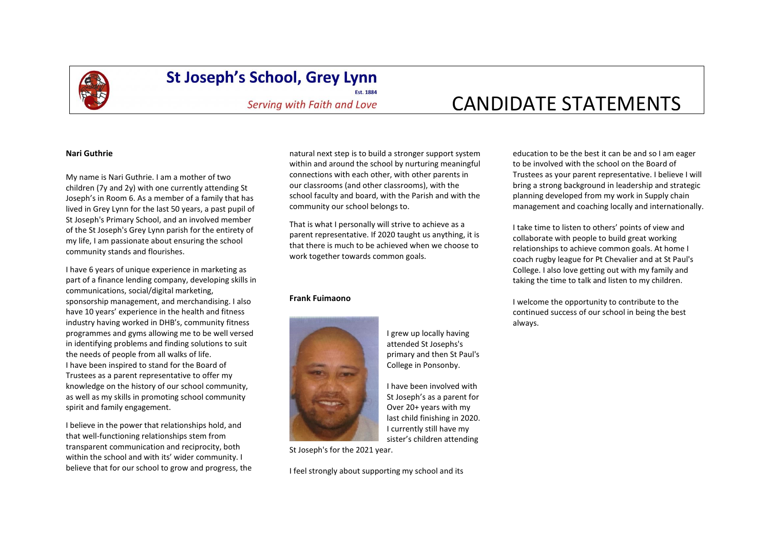

## **St Joseph's School, Grey Lynn**

**Fst. 1884** Serving with Faith and Love

# CANDIDATE STATEMENTS

#### **Nari Guthrie**

My name is Nari Guthrie. I am a mother of two children (7y and 2y) with one currently attending St Joseph's in Room 6. As a member of a family that has lived in Grey Lynn for the last 50 years, a past pupil of St Joseph's Primary School, and an involved member of the St Joseph's Grey Lynn parish for the entirety of my life, I am passionate about ensuring the school community stands and flourishes.

I have 6 years of unique experience in marketing as part of a finance lending company, developing skills in communications, social/digital marketing, sponsorship management, and merchandising. I also have 10 years' experience in the health and fitness industry having worked in DHB's, community fitness programmes and gyms allowing me to be well versed in identifying problems and finding solutions to suit the needs of people from all walks of life. I have been inspired to stand for the Board of Trustees as a parent representative to offer my knowledge on the history of our school community, as well as my skills in promoting school community spirit and family engagement.

I believe in the power that relationships hold, and that well-functioning relationships stem from transparent communication and reciprocity, both within the school and with its' wider community. I believe that for our school to grow and progress, the

natural next step is to build a stronger support system within and around the school by nurturing meaningful connections with each other, with other parents in our classrooms (and other classrooms), with the school faculty and board, with the Parish and with the community our school belongs to.

That is what I personally will strive to achieve as a parent representative. If 2020 taught us anything, it is that there is much to be achieved when we choose to work together towards common goals.

#### **Frank Fuimaono**



I grew up locally having attended St Josephs's primary and then St Paul's College in Ponsonby.

I have been involved with St Joseph's as a parent for Over 20+ years with my last child finishing in 2020. I currently still have my sister's children attending

St Joseph's for the 2021 year.

I feel strongly about supporting my school and its

education to be the best it can be and so I am eager to be involved with the school on the Board of Trustees as your parent representative. I believe I will bring a strong background in leadership and strategic planning developed from my work in Supply chain management and coaching locally and internationally.

I take time to listen to others' points of view and collaborate with people to build great working relationships to achieve common goals. At home I coach rugby league for Pt Chevalier and at St Paul's College. I also love getting out with my family and taking the time to talk and listen to my children.

I welcome the opportunity to contribute to the continued success of our school in being the best always.